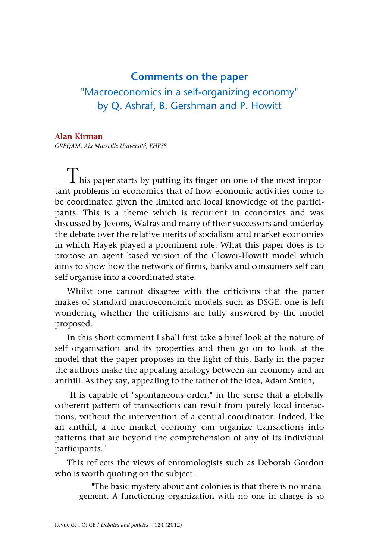## **Comments on the paper**

"Macroeconomics in a self-organizing economy" by Q. Ashraf, B. Gershman and P. Howitt

## **Alan Kirman**

*GREQAM, Aix Marseille Université, EHESS*

I his paper starts by putting its finger on one of the most important problems in economics that of how economic activities come to be coordinated given the limited and local knowledge of the participants. This is a theme which is recurrent in economics and was discussed by Jevons, Walras and many of their successors and underlay the debate over the relative merits of socialism and market economies in which Hayek played a prominent role. What this paper does is to propose an agent based version of the Clower-Howitt model which aims to show how the network of firms, banks and consumers self can self organise into a coordinated state.

Whilst one cannot disagree with the criticisms that the paper makes of standard macroeconomic models such as DSGE, one is left wondering whether the criticisms are fully answered by the model proposed.

In this short comment I shall first take a brief look at the nature of self organisation and its properties and then go on to look at the model that the paper proposes in the light of this. Early in the paper the authors make the appealing analogy between an economy and an anthill. As they say, appealing to the father of the idea, Adam Smith,

"It is capable of "spontaneous order," in the sense that a globally coherent pattern of transactions can result from purely local interactions, without the intervention of a central coordinator. Indeed, like an anthill, a free market economy can organize transactions into patterns that are beyond the comprehension of any of its individual participants. "

This reflects the views of entomologists such as Deborah Gordon who is worth quoting on the subject.

"The basic mystery about ant colonies is that there is no management. A functioning organization with no one in charge is so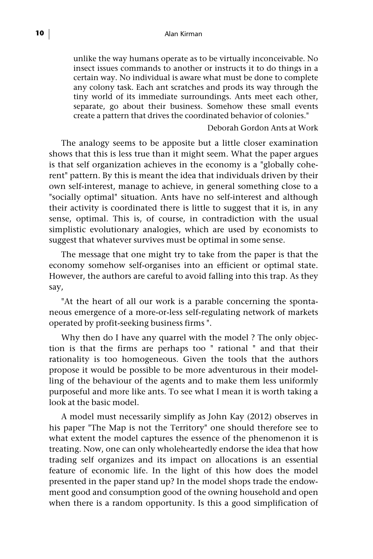unlike the way humans operate as to be virtually inconceivable. No insect issues commands to another or instructs it to do things in a certain way. No individual is aware what must be done to complete any colony task. Each ant scratches and prods its way through the tiny world of its immediate surroundings. Ants meet each other, separate, go about their business. Somehow these small events create a pattern that drives the coordinated behavior of colonies."

Deborah Gordon Ants at Work

The analogy seems to be apposite but a little closer examination shows that this is less true than it might seem. What the paper argues is that self organization achieves in the economy is a "globally coherent" pattern. By this is meant the idea that individuals driven by their own self-interest, manage to achieve, in general something close to a "socially optimal" situation. Ants have no self-interest and although their activity is coordinated there is little to suggest that it is, in any sense, optimal. This is, of course, in contradiction with the usual simplistic evolutionary analogies, which are used by economists to suggest that whatever survives must be optimal in some sense.

The message that one might try to take from the paper is that the economy somehow self-organises into an efficient or optimal state. However, the authors are careful to avoid falling into this trap. As they say,

"At the heart of all our work is a parable concerning the spontaneous emergence of a more-or-less self-regulating network of markets operated by profit-seeking business firms ".

Why then do I have any quarrel with the model ? The only objection is that the firms are perhaps too " rational " and that their rationality is too homogeneous. Given the tools that the authors propose it would be possible to be more adventurous in their modelling of the behaviour of the agents and to make them less uniformly purposeful and more like ants. To see what I mean it is worth taking a look at the basic model.

A model must necessarily simplify as John Kay (2012) observes in his paper "The Map is not the Territory" one should therefore see to what extent the model captures the essence of the phenomenon it is treating. Now, one can only wholeheartedly endorse the idea that how trading self organizes and its impact on allocations is an essential feature of economic life. In the light of this how does the model presented in the paper stand up? In the model shops trade the endowment good and consumption good of the owning household and open when there is a random opportunity. Is this a good simplification of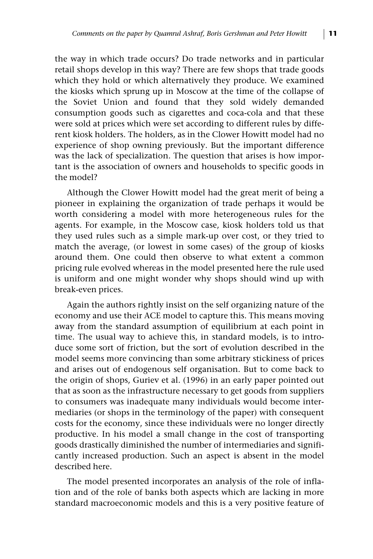the way in which trade occurs? Do trade networks and in particular retail shops develop in this way? There are few shops that trade goods which they hold or which alternatively they produce. We examined the kiosks which sprung up in Moscow at the time of the collapse of the Soviet Union and found that they sold widely demanded consumption goods such as cigarettes and coca-cola and that these were sold at prices which were set according to different rules by different kiosk holders. The holders, as in the Clower Howitt model had no experience of shop owning previously. But the important difference was the lack of specialization. The question that arises is how important is the association of owners and households to specific goods in the model?

Although the Clower Howitt model had the great merit of being a pioneer in explaining the organization of trade perhaps it would be worth considering a model with more heterogeneous rules for the agents. For example, in the Moscow case, kiosk holders told us that they used rules such as a simple mark-up over cost, or they tried to match the average, (or lowest in some cases) of the group of kiosks around them. One could then observe to what extent a common pricing rule evolved whereas in the model presented here the rule used is uniform and one might wonder why shops should wind up with break-even prices.

Again the authors rightly insist on the self organizing nature of the economy and use their ACE model to capture this. This means moving away from the standard assumption of equilibrium at each point in time. The usual way to achieve this, in standard models, is to introduce some sort of friction, but the sort of evolution described in the model seems more convincing than some arbitrary stickiness of prices and arises out of endogenous self organisation. But to come back to the origin of shops, Guriev et al. (1996) in an early paper pointed out that as soon as the infrastructure necessary to get goods from suppliers to consumers was inadequate many individuals would become intermediaries (or shops in the terminology of the paper) with consequent costs for the economy, since these individuals were no longer directly productive. In his model a small change in the cost of transporting goods drastically diminished the number of intermediaries and significantly increased production. Such an aspect is absent in the model described here.

The model presented incorporates an analysis of the role of inflation and of the role of banks both aspects which are lacking in more standard macroeconomic models and this is a very positive feature of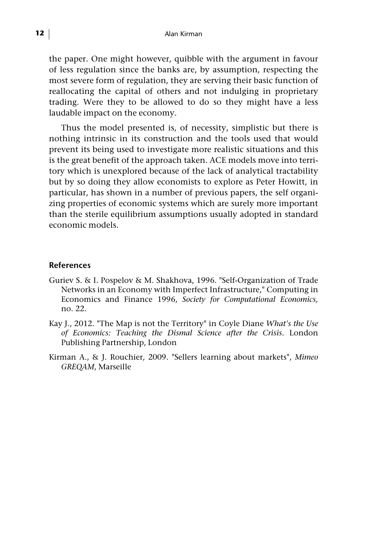the paper. One might however, quibble with the argument in favour of less regulation since the banks are, by assumption, respecting the most severe form of regulation, they are serving their basic function of reallocating the capital of others and not indulging in proprietary trading. Were they to be allowed to do so they might have a less laudable impact on the economy.

Thus the model presented is, of necessity, simplistic but there is nothing intrinsic in its construction and the tools used that would prevent its being used to investigate more realistic situations and this is the great benefit of the approach taken. ACE models move into territory which is unexplored because of the lack of analytical tractability but by so doing they allow economists to explore as Peter Howitt, in particular, has shown in a number of previous papers, the self organizing properties of economic systems which are surely more important than the sterile equilibrium assumptions usually adopted in standard economic models.

## **References**

- Guriev S. & I. Pospelov & M. Shakhova, 1996. "Self-Organization of Trade Networks in an Economy with Imperfect Infrastructure," Computing in Economics and Finance 1996, *Society for Computational Economics,* no. 22.
- Kay J., 2012. "The Map is not the Territory" in Coyle Diane *What's the Use of Economics: Teaching the Dismal Science after the Crisis.* London Publishing Partnership, London
- Kirman A., & J. Rouchier, 2009. "Sellers learning about markets", *Mimeo GREQAM*, Marseille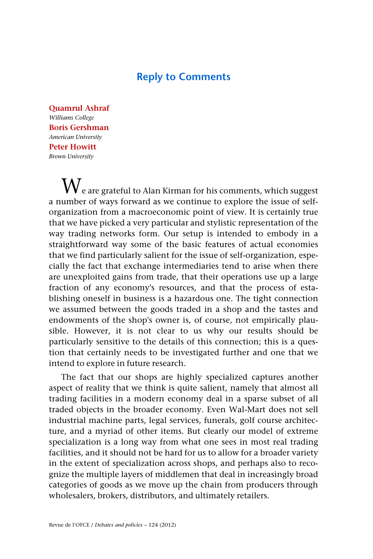## **Reply to Comments**

**Quamrul Ashraf** *Williams College* **Boris Gershman** *American University* **Peter Howitt** *Brown University*

 $\rm W$  e are grateful to Alan Kirman for his comments, which suggest a number of ways forward as we continue to explore the issue of selforganization from a macroeconomic point of view. It is certainly true that we have picked a very particular and stylistic representation of the way trading networks form. Our setup is intended to embody in a straightforward way some of the basic features of actual economies that we find particularly salient for the issue of self-organization, especially the fact that exchange intermediaries tend to arise when there are unexploited gains from trade, that their operations use up a large fraction of any economy's resources, and that the process of establishing oneself in business is a hazardous one. The tight connection we assumed between the goods traded in a shop and the tastes and endowments of the shop's owner is, of course, not empirically plausible. However, it is not clear to us why our results should be particularly sensitive to the details of this connection; this is a question that certainly needs to be investigated further and one that we intend to explore in future research.

The fact that our shops are highly specialized captures another aspect of reality that we think is quite salient, namely that almost all trading facilities in a modern economy deal in a sparse subset of all traded objects in the broader economy. Even Wal-Mart does not sell industrial machine parts, legal services, funerals, golf course architecture, and a myriad of other items. But clearly our model of extreme specialization is a long way from what one sees in most real trading facilities, and it should not be hard for us to allow for a broader variety in the extent of specialization across shops, and perhaps also to recognize the multiple layers of middlemen that deal in increasingly broad categories of goods as we move up the chain from producers through wholesalers, brokers, distributors, and ultimately retailers.